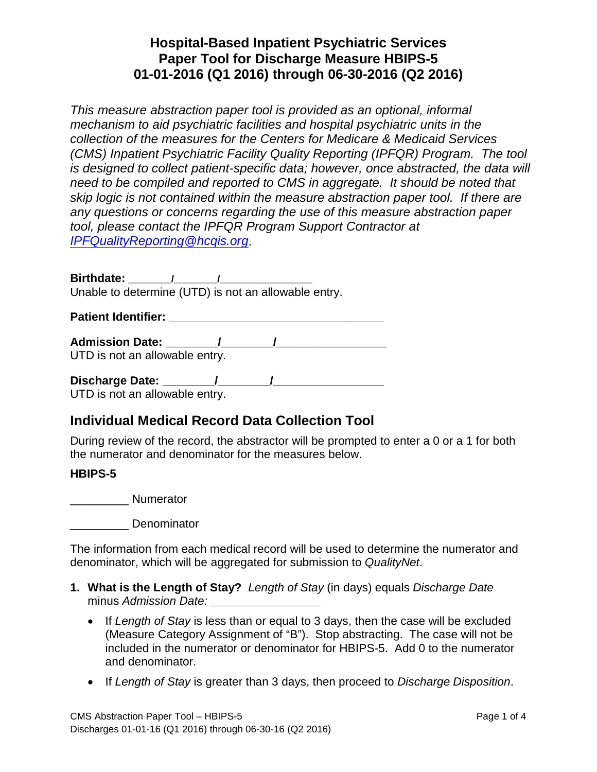*This measure abstraction paper tool is provided as an optional, informal mechanism to aid psychiatric facilities and hospital psychiatric units in the collection of the measures for the Centers for Medicare & Medicaid Services (CMS) Inpatient Psychiatric Facility Quality Reporting (IPFQR) Program. The tool is designed to collect patient-specific data; however, once abstracted, the data will need to be compiled and reported to CMS in aggregate. It should be noted that skip logic is not contained within the measure abstraction paper tool. If there are any questions or concerns regarding the use of this measure abstraction paper tool, please contact the IPFQR Program Support Contractor at [IPFQualityReporting@hcqis.org](mailto:IPFQualityReporting@hcqis.org)*.

**Birthdate: \_\_\_\_\_\_\_\_/\_\_\_\_\_\_\_\_/\_\_\_\_\_\_\_\_\_\_\_\_\_\_\_\_\_** Unable to determine (UTD) is not an allowable entry.

**Patient Identifier: Constant Identifier: Constant Identifier:** 

**Admission Date: \_\_\_\_\_\_\_\_/\_\_\_\_\_\_\_\_/\_\_\_\_\_\_\_\_\_\_\_\_\_\_\_\_\_**  UTD is not an allowable entry.

**Discharge Date: \_\_\_\_\_\_\_\_/\_\_\_\_\_\_\_\_/\_\_\_\_\_\_\_\_\_\_\_\_\_\_\_\_\_**

UTD is not an allowable entry.

# **Individual Medical Record Data Collection Tool**

During review of the record, the abstractor will be prompted to enter a 0 or a 1 for both the numerator and denominator for the measures below.

#### **HBIPS-5**

\_\_\_\_\_\_\_\_\_ Numerator

\_\_\_\_\_\_\_\_\_ Denominator

The information from each medical record will be used to determine the numerator and denominator, which will be aggregated for submission to *QualityNet*.

- **1. What is the Length of Stay?** *Length of Stay* (in days) equals *Discharge Date* minus *Admission Date: parameters parameters parameters parameters* 
	- If *Length of Stay* is less than or equal to 3 days, then the case will be excluded (Measure Category Assignment of "B"). Stop abstracting. The case will not be included in the numerator or denominator for HBIPS-5. Add 0 to the numerator and denominator.
	- If *Length of Stay* is greater than 3 days, then proceed to *Discharge Disposition*.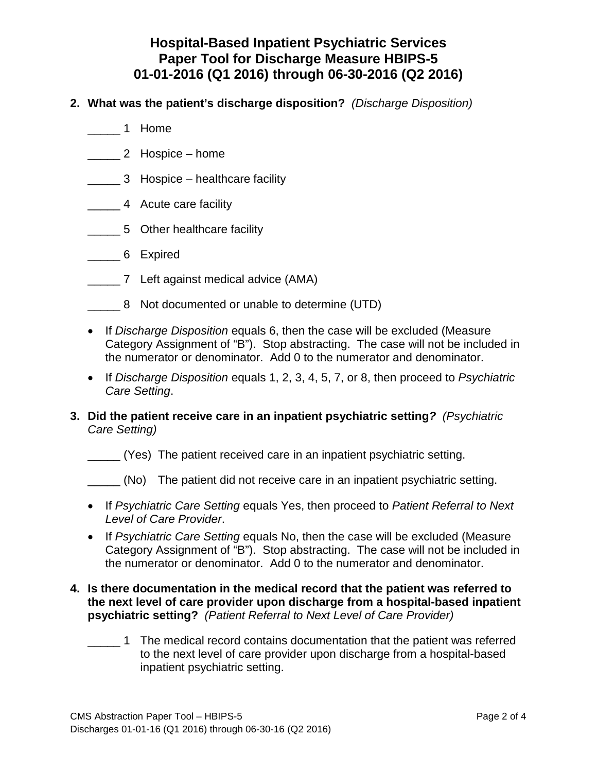- **2. What was the patient's discharge disposition?** *(Discharge Disposition)*
	- \_\_\_\_\_ 1 Home
	- \_\_\_\_\_ 2 Hospice home
	- \_\_\_\_\_ 3 Hospice healthcare facility
	- \_\_\_\_\_ 4 Acute care facility
	- \_\_\_\_\_ 5 Other healthcare facility
	- \_\_\_\_\_ 6 Expired
	- \_\_\_\_\_ 7 Left against medical advice (AMA)
	- \_\_\_\_\_ 8 Not documented or unable to determine (UTD)
	- If *Discharge Disposition* equals 6, then the case will be excluded (Measure Category Assignment of "B"). Stop abstracting. The case will not be included in the numerator or denominator. Add 0 to the numerator and denominator.
	- If *Discharge Disposition* equals 1, 2, 3, 4, 5, 7, or 8, then proceed to *Psychiatric Care Setting*.
- **3. Did the patient receive care in an inpatient psychiatric setting***? (Psychiatric Care Setting)*
	- \_\_\_\_\_ (Yes) The patient received care in an inpatient psychiatric setting.
	- \_\_\_\_\_ (No) The patient did not receive care in an inpatient psychiatric setting.
	- If *Psychiatric Care Setting* equals Yes, then proceed to *Patient Referral to Next Level of Care Provider*.
	- If *Psychiatric Care Setting* equals No, then the case will be excluded (Measure Category Assignment of "B"). Stop abstracting. The case will not be included in the numerator or denominator. Add 0 to the numerator and denominator.
- **4. Is there documentation in the medical record that the patient was referred to the next level of care provider upon discharge from a hospital-based inpatient psychiatric setting?** *(Patient Referral to Next Level of Care Provider)*
	- \_\_\_\_\_ 1 The medical record contains documentation that the patient was referred to the next level of care provider upon discharge from a hospital-based inpatient psychiatric setting.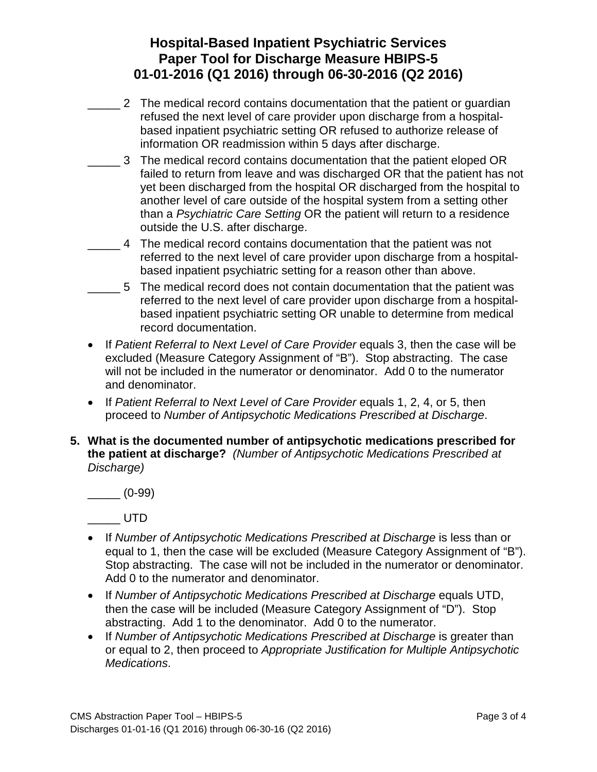- \_\_\_\_\_ 2 The medical record contains documentation that the patient or guardian refused the next level of care provider upon discharge from a hospitalbased inpatient psychiatric setting OR refused to authorize release of information OR readmission within 5 days after discharge.
- $\overline{\phantom{a}}$ 3 The medical record contains documentation that the patient eloped OR failed to return from leave and was discharged OR that the patient has not yet been discharged from the hospital OR discharged from the hospital to another level of care outside of the hospital system from a setting other than a *Psychiatric Care Setting* OR the patient will return to a residence outside the U.S. after discharge.
- \_\_\_\_\_ 4 The medical record contains documentation that the patient was not referred to the next level of care provider upon discharge from a hospitalbased inpatient psychiatric setting for a reason other than above.
- \_\_\_\_\_ 5 The medical record does not contain documentation that the patient was referred to the next level of care provider upon discharge from a hospitalbased inpatient psychiatric setting OR unable to determine from medical record documentation.
- If *Patient Referral to Next Level of Care Provider* equals 3, then the case will be excluded (Measure Category Assignment of "B"). Stop abstracting. The case will not be included in the numerator or denominator. Add 0 to the numerator and denominator.
- If *Patient Referral to Next Level of Care Provider* equals 1, 2, 4, or 5, then proceed to *Number of Antipsychotic Medications Prescribed at Discharge*.
- **5. What is the documented number of antipsychotic medications prescribed for the patient at discharge?** *(Number of Antipsychotic Medications Prescribed at Discharge)*

\_\_\_\_\_ (0-99)

\_\_\_\_\_\_ UTD

- If *Number of Antipsychotic Medications Prescribed at Discharge* is less than or equal to 1, then the case will be excluded (Measure Category Assignment of "B"). Stop abstracting. The case will not be included in the numerator or denominator. Add 0 to the numerator and denominator.
- If *Number of Antipsychotic Medications Prescribed at Discharge* equals UTD, then the case will be included (Measure Category Assignment of "D"). Stop abstracting. Add 1 to the denominator. Add 0 to the numerator.
- If *Number of Antipsychotic Medications Prescribed at Discharge* is greater than or equal to 2, then proceed to *Appropriate Justification for Multiple Antipsychotic Medications*.